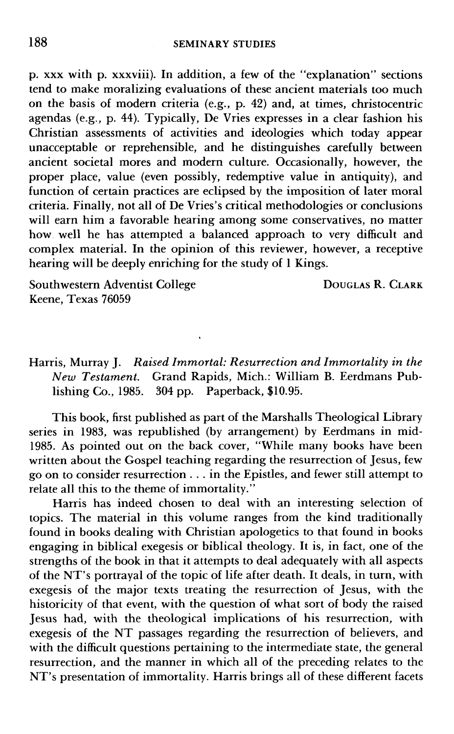p. xxx with p. xxxviii). In addition, a few of the "explanation" sections tend to make moralizing evaluations of these ancient materials too much on the basis of modern criteria (e.g., p. 42) and, at times, christocentric agendas (e.g., p. 44). Typically, De Vries expresses in a clear fashion his Christian assessments of activities and ideologies which today appear unacceptable or reprehensible, and he distinguishes carefully between ancient societal mores and modern culture. Occasionally, however, the proper place, value (even possibly, redemptive value in antiquity), and function of certain practices are eclipsed by the imposition of later moral criteria. Finally, not all of De Vries's critical methodologies or conclusions will earn him a favorable hearing among some conservatives, no matter how well he has attempted a balanced approach to very difficult and complex material. In the opinion of this reviewer, however, a receptive hearing will be deeply enriching for the study of 1 Kings.

Southwestern Adventist College Keene, Texas 76059

DOUGLAS R. CLARK

Harris, Murray J. *Raised Immortal: Resurrection and Immortality in the New Testament.* Grand Rapids, Mich.: William B. Eerdmans Publishing Co., 1985. 304 pp. Paperback, \$10.95.

This book, first published as part of the Marshalls Theological Library series in 1983, was republished (by arrangement) by Eerdmans in mid-1985. As pointed out on the back cover, "While many books have been written about the Gospel teaching regarding the resurrection of Jesus, few go on to consider resurrection . . . in the Epistles, and fewer still attempt to relate all this to the theme of immortality."

Harris has indeed chosen to deal with an interesting selection of topics. The material in this volume ranges from the kind traditionally found in books dealing with Christian apologetics to that found in books engaging in biblical exegesis or biblical theology. It is, in fact, one of the strengths of the book in that it attempts to deal adequately with all aspects of the NT's portrayal of the topic of life after death. It deals, in turn, with exegesis of the major texts treating the resurrection of Jesus, with the historicity of that event, with the question of what sort of body the raised Jesus had, with the theological implications of his resurrection, with exegesis of the NT passages regarding the resurrection of believers, and with the difficult questions pertaining to the intermediate state, the general resurrection, and the manner in which all of the preceding relates to the NT's presentation of immortality. Harris brings all of these different facets